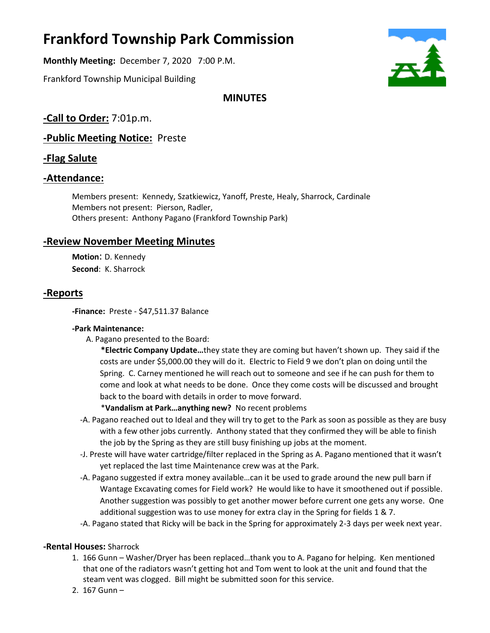# **Frankford Township Park Commission**

**Monthly Meeting:** December 7, 2020 7:00 P.M.

Frankford Township Municipal Building



## **MINUTES**

# **-Call to Order:** 7:01p.m.

# **-Public Meeting Notice:** Preste

## **-Flag Salute**

## **-Attendance:**

Members present: Kennedy, Szatkiewicz, Yanoff, Preste, Healy, Sharrock, Cardinale Members not present: Pierson, Radler, Others present: Anthony Pagano (Frankford Township Park)

## **-Review November Meeting Minutes**

 **Second**: K. Sharrock **Motion**: D. Kennedy

## **-Reports**

**-Finance:** Preste - \$47,511.37 Balance

#### **-Park Maintenance:**

A. Pagano presented to the Board:

**\*Electric Company Update…**they state they are coming but haven't shown up. They said if the costs are under \$5,000.00 they will do it. Electric to Field 9 we don't plan on doing until the Spring. C. Carney mentioned he will reach out to someone and see if he can push for them to come and look at what needs to be done. Once they come costs will be discussed and brought back to the board with details in order to move forward.

\***Vandalism at Park…anything new?** No recent problems

- -A. Pagano reached out to Ideal and they will try to get to the Park as soon as possible as they are busy with a few other jobs currently. Anthony stated that they confirmed they will be able to finish the job by the Spring as they are still busy finishing up jobs at the moment.
- -J. Preste will have water cartridge/filter replaced in the Spring as A. Pagano mentioned that it wasn't yet replaced the last time Maintenance crew was at the Park.
- -A. Pagano suggested if extra money available...can it be used to grade around the new pull barn if Wantage Excavating comes for Field work? He would like to have it smoothened out if possible. Another suggestion was possibly to get another mower before current one gets any worse. One additional suggestion was to use money for extra clay in the Spring for fields 1 & 7.
- -A. Pagano stated that Ricky will be back in the Spring for approximately 2-3 days per week next year.

#### **-Rental Houses:** Sharrock

- 1. 166 Gunn Washer/Dryer has been replaced...thank you to A. Pagano for helping. Ken mentioned that one of the radiators wasn't getting hot and Tom went to look at the unit and found that the steam vent was clogged. Bill might be submitted soon for this service.
- 2. 167 Gunn –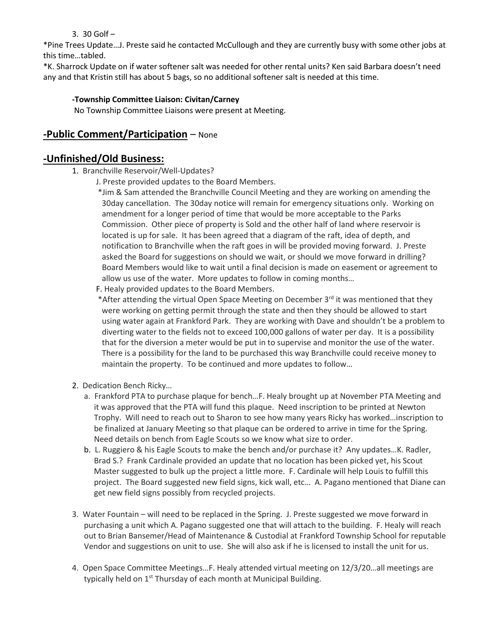#### $3.30$  Golf  $-$

\*Pine Trees Update...J. Preste said he contacted McCullough and they are currently busy with some other jobs at this time...tabled.

\*K. Sharrock Update on if water softener salt was needed for other rental units? Ken said arbara doesn't need any and that Kristin still has about 5 bags, so no additional softener salt is needed at this time.

#### **-Township Committee Liaison: Civitan/Carney**

No Township Committee Liaisons were present at Meeting.

## **-Public Comment/Participation** – None

## **-Unfinished/Old Business:**

- 1. Branchville Reservoir/Well-Updates?
	- J. Preste provided updates to the Board Members.
		- \*Jim & Sam attended the Branchville Council Meeting and they are working on amending the 30day cancellation. The 30day notice will remain for emergency situations only. Working on amendment for a longer period of time that would be more acceptable to the Parks Commission. Other piece of property is Sold and the other half of land where reservoir is located is up for sale. It has been agreed that a diagram of the raft, idea of depth, and notification to Branchville when the raft goes in will be provided moving forward. J. Preste asked the Board for suggestions on should we wait, or should we move forward in drilling? Board Members would like to wait until a final decision is made on easement or agreement to allow us use of the water. More updates to follow in coming months...
	- F. Healy provided updates to the Board Members.
	- \*After attending the virtual Open Space Meeting on December 3<sup>rd</sup> it was mentioned that they were working on getting permit through the state and then they should be allowed to start using water again at Frankford Park. They are working with Dave and shouldn't be a problem to diverting water to the fields not to exceed 100,000 gallons of water per day. It is a possibility that for the diversion a meter would be put in to supervise and monitor the use of the water. There is a possibility for the land to be purchased this way Branchville could receive money to maintain the property. To be continued and more updates to follow...
- 2. Dedication Bench Ricky...
	- a. Frankford PTA to purchase plaque for bench...F. Healy brought up at November PTA Meeting and it was approved that the PTA will fund this plaque. Need inscription to be printed at Newton Trophy. Will need to reach out to Sharon to see how many years Ricky has worked...inscription to be finalized at January Meeting so that plaque can be ordered to arrive in time for the Spring. Need details on bench from Eagle Scouts so we know what size to order.
	- b. L. Ruggiero & his Eagle Scouts to make the bench and/or purchase it? Any updates...K. Radler, Brad S.? Frank Cardinale provided an update that no location has been picked yet, his Scout Master suggested to bulk up the project a little more. F. Cardinale will help Louis to fulfill this project. The Board suggested new field signs, kick wall, etc... A. Pagano mentioned that Diane can get new field signs possibly from recycled projects.
- 3. Water Fountain will need to be replaced in the Spring. J. Preste suggested we move forward in purchasing a unit which A. Pagano suggested one that will attach to the building. F. Healy will reach out to Brian Bansemer/Head of Maintenance & Custodial at Frankford Township School for reputable Vendor and suggestions on unit to use. She will also ask if he is licensed to install the unit for us.
- 4. Open Space Committee Meetings...F. Healy attended virtual meeting on 12/3/20...all meetings are typically held on 1<sup>st</sup> Thursday of each month at Municipal Building.